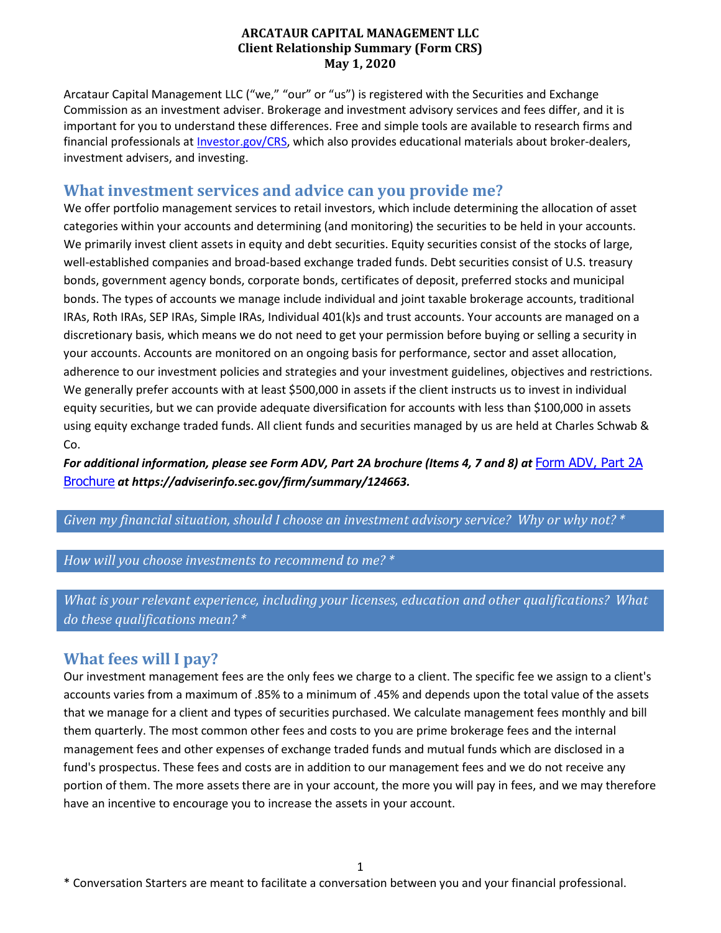#### **ARCATAUR CAPITAL MANAGEMENT LLC Client Relationship Summary (Form CRS) May 1, 2020**

Arcataur Capital Management LLC ("we," "our" or "us") is registered with the Securities and Exchange Commission as an investment adviser. Brokerage and investment advisory services and fees differ, and it is important for you to understand these differences. Free and simple tools are available to research firms and financial professionals at *Investor.gov/CRS*, which also provides educational materials about broker-dealers, investment advisers, and investing.

# **What investment services and advice can you provide me?**

We offer portfolio management services to retail investors, which include determining the allocation of asset categories within your accounts and determining (and monitoring) the securities to be held in your accounts. We primarily invest client assets in equity and debt securities. Equity securities consist of the stocks of large, well-established companies and broad-based exchange traded funds. Debt securities consist of U.S. treasury bonds, government agency bonds, corporate bonds, certificates of deposit, preferred stocks and municipal bonds. The types of accounts we manage include individual and joint taxable brokerage accounts, traditional IRAs, Roth IRAs, SEP IRAs, Simple IRAs, Individual 401(k)s and trust accounts. Your accounts are managed on a discretionary basis, which means we do not need to get your permission before buying or selling a security in your accounts. Accounts are monitored on an ongoing basis for performance, sector and asset allocation, adherence to our investment policies and strategies and your investment guidelines, objectives and restrictions. We generally prefer accounts with at least \$500,000 in assets if the client instructs us to invest in individual equity securities, but we can provide adequate diversification for accounts with less than \$100,000 in assets using equity exchange traded funds. All client funds and securities managed by us are held at Charles Schwab & Co.

*For additional information, please see Form ADV, Part 2A brochure (Items 4, 7 and 8) at* [Form ADV, Part 2A](https://files.adviserinfo.sec.gov/IAPD/Content/Common/crd_iapd_Brochure.aspx?BRCHR_VRSN_ID=750403)  [Brochure](https://files.adviserinfo.sec.gov/IAPD/Content/Common/crd_iapd_Brochure.aspx?BRCHR_VRSN_ID=750403) *at https://adviserinfo.sec.gov/firm/summary/124663.*

*Given my financial situation, should I choose an investment advisory service? Why or why not? \**

*How will you choose investments to recommend to me? \**

*What is your relevant experience, including your licenses, education and other qualifications? What do these qualifications mean? \**

# **What fees will I pay?**

Our investment management fees are the only fees we charge to a client. The specific fee we assign to a client's accounts varies from a maximum of .85% to a minimum of .45% and depends upon the total value of the assets that we manage for a client and types of securities purchased. We calculate management fees monthly and bill them quarterly. The most common other fees and costs to you are prime brokerage fees and the internal management fees and other expenses of exchange traded funds and mutual funds which are disclosed in a fund's prospectus. These fees and costs are in addition to our management fees and we do not receive any portion of them. The more assets there are in your account, the more you will pay in fees, and we may therefore have an incentive to encourage you to increase the assets in your account.

\* Conversation Starters are meant to facilitate a conversation between you and your financial professional.